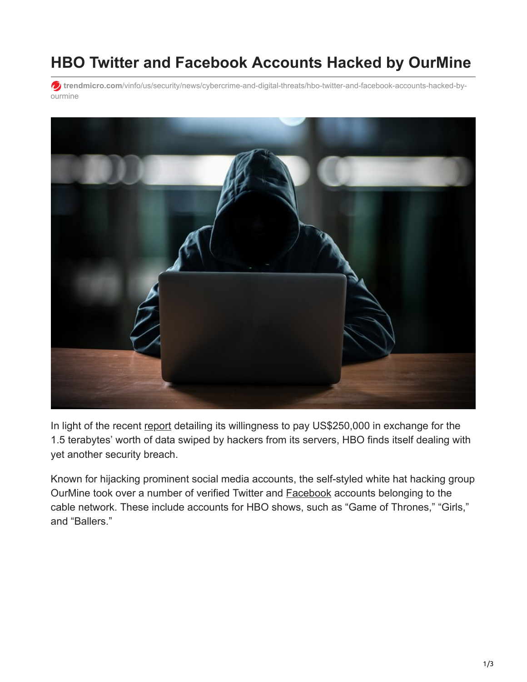## **HBO Twitter and Facebook Accounts Hacked by OurMine**

**trendmicro.com**[/vinfo/us/security/news/cybercrime-and-digital-threats/hbo-twitter-and-facebook-accounts-hacked-by](https://www.trendmicro.com/vinfo/us/security/news/cybercrime-and-digital-threats/hbo-twitter-and-facebook-accounts-hacked-by-ourmine)ourmine



In light of the recent [report](https://www.cbsnews.com/news/hbo-hackers-leaked-email-ransom/) detailing its willingness to pay US\$250,000 in exchange for the 1.5 terabytes' worth of data swiped by hackers from its servers, HBO finds itself dealing with yet another security breach.

Known for hijacking prominent social media accounts, the self-styled white hat hacking group OurMine took over a number of verified Twitter and [Facebook](http://variety.com/2017/tv/news/hbo-social-media-accounts-hacked-exclusive-1202530715/) accounts belonging to the cable network. These include accounts for HBO shows, such as "Game of Thrones," "Girls," and "Ballers."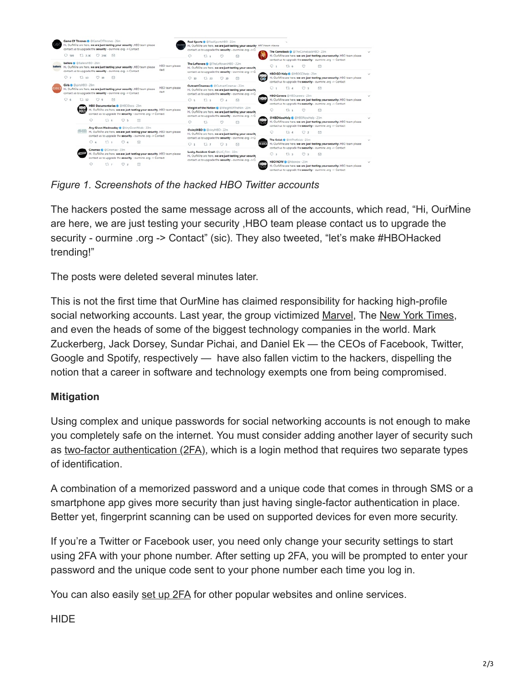

*Figure 1. Screenshots of the hacked HBO Twitter accounts*

The hackers posted the same message across all of the accounts, which read, "Hi, Our Mine" are here, we are just testing your security ,HBO team please contact us to upgrade the security - ourmine .org -> Contact" (sic). They also tweeted, "let's make #HBOHacked trending!"

The posts were deleted several minutes later.

This is not the first time that OurMine has claimed responsibility for hacking high-profile social networking accounts. Last year, the group victimized [Marvel](https://www.cnet.com/news/marvel-and-several-avengers-just-got-hacked-on-twitter/), The [New York Times,](https://www.scmagazine.com/russia-to-attack-says-hacked-ny-times-twitter-account/article/633242/) and even the heads of some of the biggest technology companies in the world. Mark Zuckerberg, Jack Dorsey, Sundar Pichai, and Daniel Ek — the CEOs of Facebook, Twitter, Google and Spotify, respectively — have also fallen victim to the hackers, dispelling the notion that a career in software and technology exempts one from being compromised.

## **Mitigation**

Using complex and unique passwords for social networking accounts is not enough to make you completely safe on the internet. You must consider adding another layer of security such as [two-factor authentication \(2FA\)](http://blog.trendmicro.com/trendlabs-security-intelligence/two-factor-authentication-and-sms-messages-dont-let-the-perfect-be-the-enemy-of-the-good), which is a login method that requires two separate types of identification.

A combination of a memorized password and a unique code that comes in through SMS or a smartphone app gives more security than just having single-factor authentication in place. Better yet, fingerprint scanning can be used on supported devices for even more security.

If you're a Twitter or Facebook user, you need only change your security settings to start using 2FA with your phone number. After setting up 2FA, you will be prompted to enter your password and the unique code sent to your phone number each time you log in.

You can also easily [set up 2FA](https://www.trendmicro.com/vinfo/us/security/news/online-privacy/how-to-set-up-2fa-layered-security-for-online-accounts) for other popular websites and online services.

HIDE